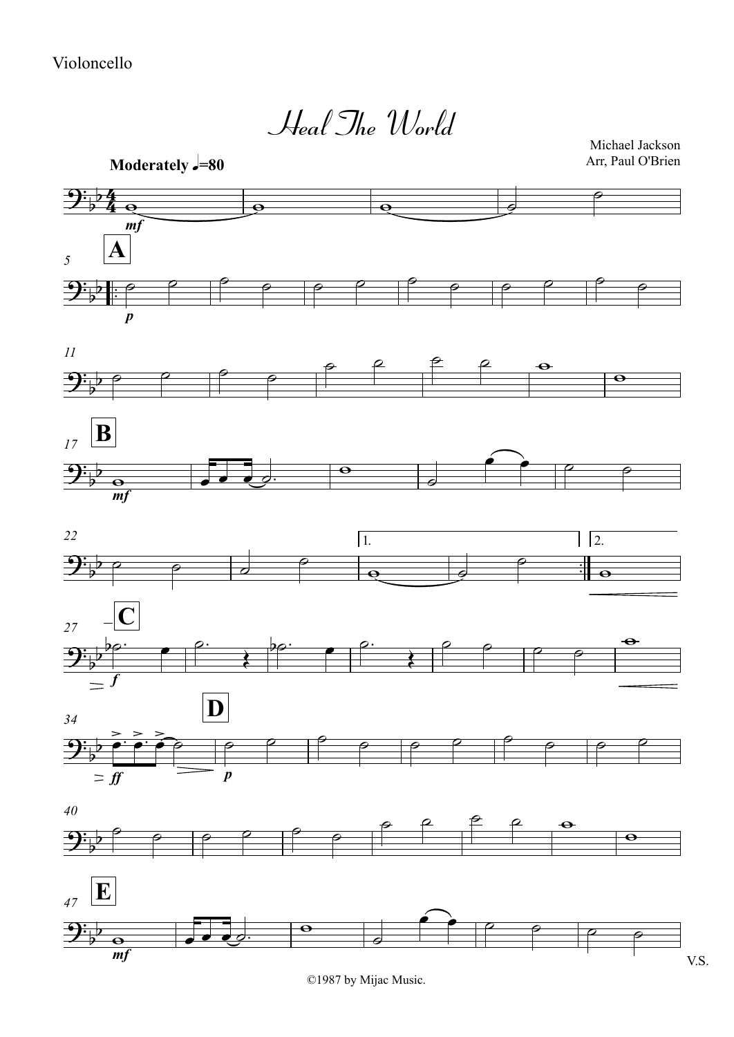*mf* **Moderately**  $\sqrt{=}80$  $\frac{1}{\cdot}$  $\frac{1}{\cdot}$ *p*  $\mathbf{A}$ *11 mf <sup>17</sup>* **B**  $\frac{1}{16}$ <u>ः।</u><br>न 1. 2. *22 f*  $\begin{bmatrix} 27 & -\mathbf{C} \end{bmatrix}$ *ff*  $\qquad \qquad p$ *<sup>34</sup>* **D** *40*  $\mathbf{m}$   $\mathbf{f}$   $\mathbf{v}$ . S. *<sup>47</sup>* **E** 4  $\frac{1}{2}$  $\frac{1}{2}$ Heal The World Michael Jackson Arr, Paul O'Brien  $9: p \cdot p$ ?b  $\overline{\partial}$  $\frac{\partial \phi}{\partial \phi}$ <sup>9</sup>  $\overline{p}$  $9.5^{b}$  $b^{\rho}$ ?b  $\frac{3}{2}$  $\mathcal{D}$  $\frac{1}{2}$  $9\frac{1}{2}$  $\overline{\phantom{a}}$  $\mathbf{e}$   $\mathbf{e}$   $\mathbf{e}$   $\mathbf{e}$  $\theta$  $\begin{array}{ccccc} \rho & \rho & \rho & \rho & \rho & \rho & \rho & \rho & \rho \end{array}$  $\begin{array}{ccccc}\n\circ & \circ & \circ & \circ \\
\circ & \circ & \circ & \circ & \end{array}$  $\theta$   $\theta$   $\theta$   $\theta$   $\theta$  $\theta$ <sup>w</sup> <sup>œ</sup> <sup>œ</sup> <sup>œ</sup> ˙. <sup>w</sup>  $\frac{1}{2}$  $\bullet$   $\rho$   $\rho$  $\overline{\phantom{a}}$   $\overline{\phantom{a}}$   $\overline{\phantom{a}}$   $\overline{\phantom{a}}$   $\overline{\phantom{a}}$   $\overline{\phantom{a}}$   $\overline{\phantom{a}}$  $\circ$  $\overline{\mathbf{e}}$   $\overline{\mathbf{e}}$   $\overline{\mathbf{e}}$   $\overline{\mathbf{e}}$  $\overline{\phantom{a}}$  $\theta$ bo. e  $\rho$ . bo. e  $\rho$ .  $\begin{array}{c|c|c|c}\n\circ & \circ & \circ \\
\hline\n\circ & \circ & \circ \\
\hline\n\end{array}$  $\theta$ ≥ ≥ ≥<br>● ˙ ● ˙ ● | ● | ● | ● | ● | ● | ● | ● | ● | ● | ● | ● | ● ˙ ˙ ˙ ˙ ˙ ˙  $\theta$   $\theta$   $\theta$   $\theta$   $\theta$  $\theta$  $\circ$   $\overline{\cdot}$   $\circ$   $\circ$   $\circ$  $\overline{\phantom{a}}$ <sup>œ</sup> <sup>œ</sup> ˙ ˙ ˙ ˙